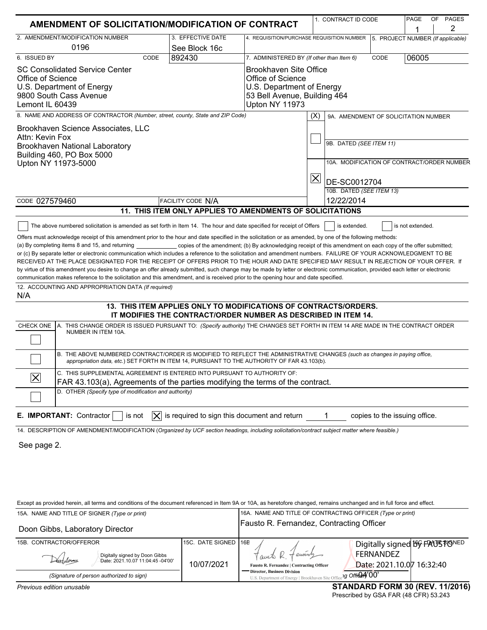| AMENDMENT OF SOLICITATION/MODIFICATION OF CONTRACT                                                                                                                                                                       |                                                                                                              |                                                            |                              | 1. CONTRACT ID CODE                        |                                        |  | OF PAGES<br>2 |  |
|--------------------------------------------------------------------------------------------------------------------------------------------------------------------------------------------------------------------------|--------------------------------------------------------------------------------------------------------------|------------------------------------------------------------|------------------------------|--------------------------------------------|----------------------------------------|--|---------------|--|
| 2. AMENDMENT/MODIFICATION NUMBER                                                                                                                                                                                         | 3. EFFECTIVE DATE                                                                                            | 4. REQUISITION/PURCHASE REQUISITION NUMBER                 |                              |                                            | 1<br>5. PROJECT NUMBER (If applicable) |  |               |  |
| 0196                                                                                                                                                                                                                     | See Block 16c                                                                                                |                                                            |                              |                                            |                                        |  |               |  |
| 6. ISSUED BY<br>CODE                                                                                                                                                                                                     | 892430                                                                                                       | 7. ADMINISTERED BY (If other than Item 6)                  |                              | CODE                                       | 06005                                  |  |               |  |
| <b>SC Consolidated Service Center</b>                                                                                                                                                                                    |                                                                                                              | Brookhaven Site Office<br>Office of Science                |                              |                                            |                                        |  |               |  |
| Office of Science<br>U.S. Department of Energy                                                                                                                                                                           |                                                                                                              |                                                            | U.S. Department of Energy    |                                            |                                        |  |               |  |
| 9800 South Cass Avenue                                                                                                                                                                                                   |                                                                                                              |                                                            | 53 Bell Avenue, Building 464 |                                            |                                        |  |               |  |
| Lemont IL 60439                                                                                                                                                                                                          |                                                                                                              | Upton NY 11973                                             |                              |                                            |                                        |  |               |  |
| 8. NAME AND ADDRESS OF CONTRACTOR (Number, street, county, State and ZIP Code)                                                                                                                                           |                                                                                                              |                                                            | (X)                          |                                            | 9A. AMENDMENT OF SOLICITATION NUMBER   |  |               |  |
| Brookhaven Science Associates, LLC                                                                                                                                                                                       |                                                                                                              |                                                            |                              |                                            |                                        |  |               |  |
| Attn: Kevin Fox                                                                                                                                                                                                          |                                                                                                              |                                                            | 9B. DATED (SEE ITEM 11)      |                                            |                                        |  |               |  |
| Brookhaven National Laboratory<br>Building 460, PO Box 5000                                                                                                                                                              |                                                                                                              |                                                            |                              |                                            |                                        |  |               |  |
| Upton NY 11973-5000                                                                                                                                                                                                      |                                                                                                              |                                                            |                              | 10A. MODIFICATION OF CONTRACT/ORDER NUMBER |                                        |  |               |  |
|                                                                                                                                                                                                                          |                                                                                                              |                                                            |                              |                                            |                                        |  |               |  |
|                                                                                                                                                                                                                          |                                                                                                              |                                                            | $\overline{\mathsf{X}}$      | DE-SC0012704                               |                                        |  |               |  |
|                                                                                                                                                                                                                          |                                                                                                              |                                                            |                              | 10B. DATED (SEE ITEM 13)                   |                                        |  |               |  |
|                                                                                                                                                                                                                          | CODE 027579460<br><b>FACILITY CODE N/A</b><br>11. THIS ITEM ONLY APPLIES TO AMENDMENTS OF SOLICITATIONS      |                                                            |                              |                                            | 12/22/2014                             |  |               |  |
|                                                                                                                                                                                                                          |                                                                                                              |                                                            |                              |                                            |                                        |  |               |  |
| The above numbered solicitation is amended as set forth in Item 14. The hour and date specified for receipt of Offers                                                                                                    |                                                                                                              |                                                            |                              | is extended.                               | is not extended.                       |  |               |  |
| Offers must acknowledge receipt of this amendment prior to the hour and date specified in the solicitation or as amended, by one of the following methods:                                                               |                                                                                                              |                                                            |                              |                                            |                                        |  |               |  |
| (a) By completing items 8 and 15, and returning<br>or (c) By separate letter or electronic communication which includes a reference to the solicitation and amendment numbers. FAILURE OF YOUR ACKNOWLEDGMENT TO BE      | copies of the amendment; (b) By acknowledging receipt of this amendment on each copy of the offer submitted; |                                                            |                              |                                            |                                        |  |               |  |
| RECEIVED AT THE PLACE DESIGNATED FOR THE RECEIPT OF OFFERS PRIOR TO THE HOUR AND DATE SPECIFIED MAY RESULT IN REJECTION OF YOUR OFFER. If                                                                                |                                                                                                              |                                                            |                              |                                            |                                        |  |               |  |
| by virtue of this amendment you desire to change an offer already submitted, such change may be made by letter or electronic communication, provided each letter or electronic                                           |                                                                                                              |                                                            |                              |                                            |                                        |  |               |  |
| communication makes reference to the solicitation and this amendment, and is received prior to the opening hour and date specified.                                                                                      |                                                                                                              |                                                            |                              |                                            |                                        |  |               |  |
| 12. ACCOUNTING AND APPROPRIATION DATA (If required)<br>N/A                                                                                                                                                               |                                                                                                              |                                                            |                              |                                            |                                        |  |               |  |
|                                                                                                                                                                                                                          | 13. THIS ITEM APPLIES ONLY TO MODIFICATIONS OF CONTRACTS/ORDERS.                                             |                                                            |                              |                                            |                                        |  |               |  |
| A. THIS CHANGE ORDER IS ISSUED PURSUANT TO: (Specify authority) THE CHANGES SET FORTH IN ITEM 14 ARE MADE IN THE CONTRACT ORDER<br>CHECK ONE                                                                             | IT MODIFIES THE CONTRACT/ORDER NUMBER AS DESCRIBED IN ITEM 14.                                               |                                                            |                              |                                            |                                        |  |               |  |
| NUMBER IN ITEM 10A.                                                                                                                                                                                                      |                                                                                                              |                                                            |                              |                                            |                                        |  |               |  |
|                                                                                                                                                                                                                          |                                                                                                              |                                                            |                              |                                            |                                        |  |               |  |
| B. THE ABOVE NUMBERED CONTRACT/ORDER IS MODIFIED TO REFLECT THE ADMINISTRATIVE CHANGES (such as changes in paying office,<br>appropriation data, etc.) SET FORTH IN ITEM 14, PURSUANT TO THE AUTHORITY OF FAR 43.103(b). |                                                                                                              |                                                            |                              |                                            |                                        |  |               |  |
| C. THIS SUPPLEMENTAL AGREEMENT IS ENTERED INTO PURSUANT TO AUTHORITY OF:<br>$\boldsymbol{\times}$                                                                                                                        |                                                                                                              |                                                            |                              |                                            |                                        |  |               |  |
| FAR 43.103(a), Agreements of the parties modifying the terms of the contract.                                                                                                                                            |                                                                                                              |                                                            |                              |                                            |                                        |  |               |  |
| D. OTHER (Specify type of modification and authority)                                                                                                                                                                    |                                                                                                              |                                                            |                              |                                            |                                        |  |               |  |
| E. IMPORTANT: Contractor<br>is not<br>$\times$                                                                                                                                                                           | is required to sign this document and return                                                                 |                                                            | 1                            |                                            | copies to the issuing office.          |  |               |  |
| 14. DESCRIPTION OF AMENDMENT/MODIFICATION (Organized by UCF section headings, including solicitation/contract subject matter where feasible.)                                                                            |                                                                                                              |                                                            |                              |                                            |                                        |  |               |  |
| See page 2.                                                                                                                                                                                                              |                                                                                                              |                                                            |                              |                                            |                                        |  |               |  |
|                                                                                                                                                                                                                          |                                                                                                              |                                                            |                              |                                            |                                        |  |               |  |
|                                                                                                                                                                                                                          |                                                                                                              |                                                            |                              |                                            |                                        |  |               |  |
|                                                                                                                                                                                                                          |                                                                                                              |                                                            |                              |                                            |                                        |  |               |  |
|                                                                                                                                                                                                                          |                                                                                                              |                                                            |                              |                                            |                                        |  |               |  |
|                                                                                                                                                                                                                          |                                                                                                              |                                                            |                              |                                            |                                        |  |               |  |
| Except as provided herein, all terms and conditions of the document referenced in Item 9A or 10A, as heretofore changed, remains unchanged and in full force and effect.                                                 |                                                                                                              |                                                            |                              |                                            |                                        |  |               |  |
| 15A. NAME AND TITLE OF SIGNER (Type or print)                                                                                                                                                                            |                                                                                                              | 16A. NAME AND TITLE OF CONTRACTING OFFICER (Type or print) |                              |                                            |                                        |  |               |  |
| Doon Gibbs, Laboratory Director                                                                                                                                                                                          |                                                                                                              | Fausto R. Fernandez, Contracting Officer                   |                              |                                            |                                        |  |               |  |
| 15B. CONTRACTOR/OFFEROR                                                                                                                                                                                                  | 15C. DATE SIGNED                                                                                             | <b>16B</b>                                                 |                              |                                            | Digitally signed by FAUSTONED          |  |               |  |
| Digitally signed by Doon Gibbs                                                                                                                                                                                           |                                                                                                              | enour                                                      |                              | <b>FERNANDEZ</b>                           |                                        |  |               |  |
| Date: 2021.10.07 11:04:45 -04'00'                                                                                                                                                                                        | Fausto R. Fernandez   Contracting Officer                                                                    |                                                            |                              | Date: 2021.10.07 16:32:40                  |                                        |  |               |  |
| (Signature of person authorized to sign)                                                                                                                                                                                 | <b>Director, Business Division</b><br>U.S. Department of Energy   Brookhaven Site Office 19 Office 19        |                                                            |                              |                                            |                                        |  |               |  |
| Previous edition unusable                                                                                                                                                                                                |                                                                                                              |                                                            |                              |                                            | <b>STANDARD FORM 30 (REV. 11/2016)</b> |  |               |  |

Prescribed by GSA FAR (48 CFR) 53.243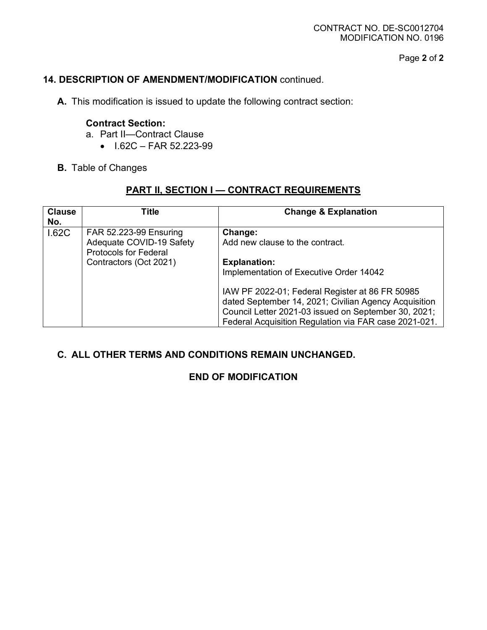Page **2** of **2**

## **14. DESCRIPTION OF AMENDMENT/MODIFICATION** continued.

**A.** This modification is issued to update the following contract section:

#### **Contract Section:**

- a. Part II—Contract Clause
	- $\bullet$  I.62C FAR 52.223-99
- **B.** Table of Changes

# **PART II, SECTION I — CONTRACT REQUIREMENTS**

| <b>Clause</b><br>No. | Title                                                                              | <b>Change &amp; Explanation</b>                                                                                                                                                                                                                                                             |
|----------------------|------------------------------------------------------------------------------------|---------------------------------------------------------------------------------------------------------------------------------------------------------------------------------------------------------------------------------------------------------------------------------------------|
| 1.62C                | FAR 52.223-99 Ensuring<br>Adequate COVID-19 Safety<br><b>Protocols for Federal</b> | Change:<br>Add new clause to the contract.                                                                                                                                                                                                                                                  |
|                      | Contractors (Oct 2021)                                                             | <b>Explanation:</b><br>Implementation of Executive Order 14042<br>IAW PF 2022-01; Federal Register at 86 FR 50985<br>dated September 14, 2021; Civilian Agency Acquisition<br>Council Letter 2021-03 issued on September 30, 2021;<br>Federal Acquisition Regulation via FAR case 2021-021. |

#### **C. ALL OTHER TERMS AND CONDITIONS REMAIN UNCHANGED.**

#### **END OF MODIFICATION**